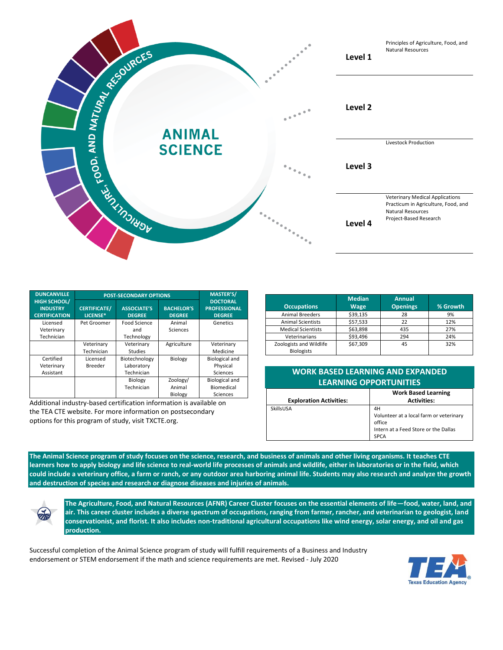

| <b>DUNCANVILLE</b>                                             | <b>POST-SECONDARY OPTIONS</b>   |                                     |                                    | <b>MASTER'S/</b>                                        |
|----------------------------------------------------------------|---------------------------------|-------------------------------------|------------------------------------|---------------------------------------------------------|
| <b>HIGH SCHOOL/</b><br><b>INDUSTRY</b><br><b>CERTIFICATION</b> | <b>CERTIFICATE/</b><br>LICENSE* | <b>ASSOCIATE'S</b><br><b>DEGREE</b> | <b>BACHELOR'S</b><br><b>DEGREE</b> | <b>DOCTORAL</b><br><b>PROFESSIONAL</b><br><b>DEGREE</b> |
| Licensed                                                       | Pet Groomer                     | Food Science                        | Animal                             | Genetics                                                |
| Veterinary                                                     |                                 | and                                 | Sciences                           |                                                         |
| Technician                                                     |                                 | Technology                          |                                    |                                                         |
|                                                                | Veterinary                      | Veterinary                          | Agriculture                        | Veterinary                                              |
|                                                                | Technician                      | <b>Studies</b>                      |                                    | Medicine                                                |
| Certified                                                      | Licensed                        | Biotechnology                       | Biology                            | <b>Biological and</b>                                   |
| Veterinary                                                     | <b>Breeder</b>                  | Laboratory                          |                                    | Physical                                                |
| Assistant                                                      |                                 | Technician                          |                                    | Sciences                                                |
|                                                                |                                 | Biology                             | Zoology/                           | <b>Biological and</b>                                   |
|                                                                |                                 | Technician                          | Animal                             | Biomedical                                              |
|                                                                |                                 |                                     | Biology                            | Sciences                                                |

Additional industry-based certification information is available on the TEA CTE website. For more information on postsecondary options for this program of study, visit TXCTE.org.

| <b>Occupations</b>                           | <b>Median</b><br><b>Wage</b> | Annual<br><b>Openings</b> | % Growth |
|----------------------------------------------|------------------------------|---------------------------|----------|
| <b>Animal Breeders</b>                       | \$39,135                     | 28                        | 9%       |
| <b>Animal Scientists</b>                     | \$57,533                     | 22                        | 12%      |
| <b>Medical Scientists</b>                    | \$63,898                     | 435                       | 27%      |
| Veterinarians                                | \$93,496                     | 294                       | 24%      |
| Zoologists and Wildlife<br><b>Biologists</b> | \$67,309                     | 45                        | 32%      |

## **WORK BASED LEARNING AND EXPANDED LEARNING OPPORTUNITIES**

|                                | <b>Work Based Learning</b>                        |  |
|--------------------------------|---------------------------------------------------|--|
| <b>Exploration Activities:</b> | <b>Activities:</b>                                |  |
| SkillsUSA                      | 4H                                                |  |
|                                | Volunteer at a local farm or veterinary<br>office |  |
|                                | Intern at a Feed Store or the Dallas              |  |
|                                | <b>SPCA</b>                                       |  |

**The Animal Science program of study focuses on the science, research, and business of animals and other living organisms. It teaches CTE learners how to apply biology and life science to real-world life processes of animals and wildlife, either in laboratories or in the field, which could include a veterinary office, a farm or ranch, or any outdoor area harboring animal life. Students may also research and analyze the growth and destruction of species and research or diagnose diseases and injuries of animals.**



**The Agriculture, Food, and Natural Resources (AFNR) Career Cluster focuses on the essential elements of life—food, water, land, and air. This career cluster includes a diverse spectrum of occupations, ranging from farmer, rancher, and veterinarian to geologist, land conservationist, and florist. It also includes non-traditional agricultural occupations like wind energy, solar energy, and oil and gas production.**

Successful completion of the Animal Science program of study will fulfill requirements of a Business and Industry endorsement or STEM endorsement if the math and science requirements are met. Revised - July 2020